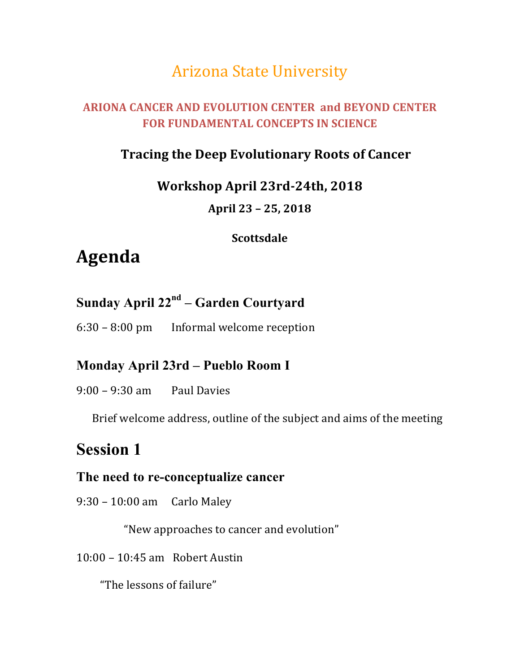# **Arizona State University**

### **ARIONA CANCER AND EVOLUTION CENTER and BEYOND CENTER FOR FUNDAMENTAL CONCEPTS IN SCIENCE**

## **Tracing the Deep Evolutionary Roots of Cancer**

#### **Workshop April 23rd-24th, 2018**

#### **April 23 – 25, 2018**

#### **Scottsdale**

# **Agenda**

# **Sunday April 22nd – Garden Courtyard**

6:30 – 8:00 pm Informal welcome reception

### **Monday April 23rd – Pueblo Room I**

#### $9:00 - 9:30$  am Paul Davies

Brief welcome address, outline of the subject and aims of the meeting

## **Session 1**

#### **The need to re-conceptualize cancer**

### 9:30 – 10:00 am Carlo Maley

"New approaches to cancer and evolution"

#### $10:00 - 10:45$  am Robert Austin

"The lessons of failure"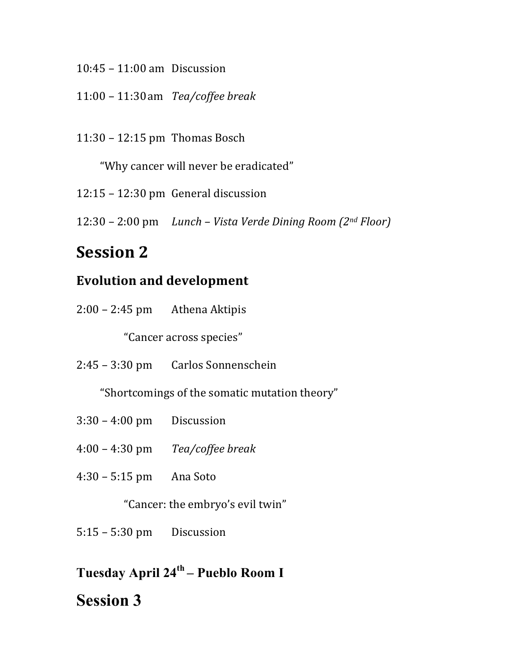- $10:45 11:00$  am Discussion
- 11:00 – 11:30am *Tea/coffee break*
- $11:30 12:15$  pm Thomas Bosch

"Why cancer will never be eradicated"

- $12:15 12:30$  pm General discussion
- 12:30 – 2:00 pm *Lunch – Vista Verde Dining Room (2nd Floor)*

# **Session 2**

### **Evolution and development**

 $2:00 - 2:45$  pm Athena Aktipis

"Cancer across species"

2:45 - 3:30 pm Carlos Sonnenschein

"Shortcomings of the somatic mutation theory"

- $3:30 4:00$  pm Discussion
- 4:00 – 4:30 pm *Tea/coffee break*
- $4:30 5:15$  pm Ana Soto

"Cancer: the embryo's evil twin"

- $5:15 5:30$  pm Discussion
- **Tuesday April 24th – Pueblo Room I**

# **Session 3**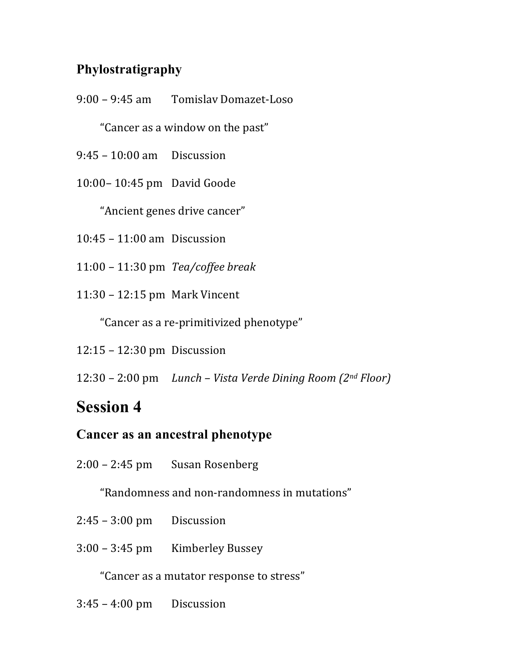## **Phylostratigraphy**

9:00 – 9:45 am Tomislav Domazet-Loso

"Cancer as a window on the past"

- $9:45 10:00$  am Discussion
- 10:00-10:45 pm David Goode

"Ancient genes drive cancer"

- $10:45 11:00$  am Discussion
- 11:00 – 11:30 pm *Tea/coffee break*
- 11:30 – 12:15 pm Mark Vincent

"Cancer as a re-primitivized phenotype"

- $12:15 12:30$  pm Discussion
- 12:30 – 2:00 pm *Lunch – Vista Verde Dining Room (2nd Floor)*

# **Session 4**

### **Cancer as an ancestral phenotype**

2:00 – 2:45 pm Susan Rosenberg

"Randomness and non-randomness in mutations"

- $2:45 3:00$  pm Discussion
- 3:00 – 3:45 pm Kimberley Bussey

"Cancer as a mutator response to stress"

 $3:45 - 4:00$  pm Discussion